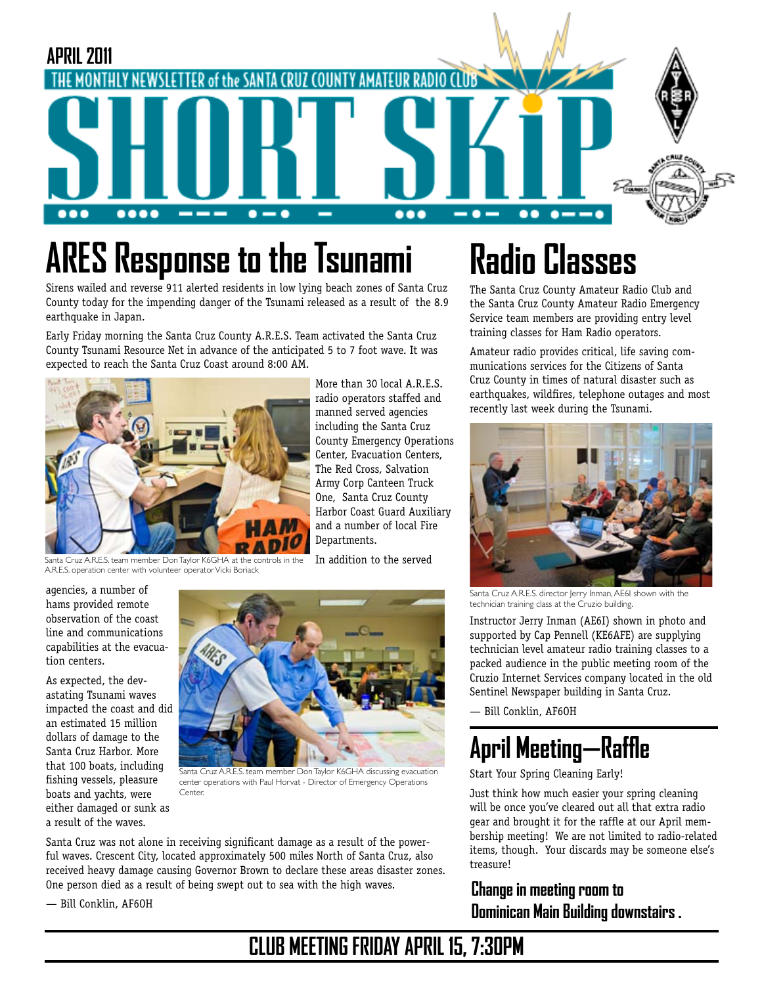

# **ARES Response to the Tsunami**

# **Radio Classes**

Sirens wailed and reverse 911 alerted residents in low lying beach zones of Santa Cruz County today for the impending danger of the Tsunami released as a result of the 8.9 earthquake in Japan.

Early Friday morning the Santa Cruz County A.R.E.S. Team activated the Santa Cruz County Tsunami Resource Net in advance of the anticipated 5 to 7 foot wave. It was expected to reach the Santa Cruz Coast around 8:00 AM.



Santa Cruz A.R.E.S. team member Don Taylor K6GHA at the controls in the In addition to the served A.R.E.S. operation center with volunteer operator Vicki Boriack

More than 30 local A.R.E.S. radio operators staffed and manned served agencies including the Santa Cruz County Emergency Operations Center, Evacuation Centers, The Red Cross, Salvation Army Corp Canteen Truck One, Santa Cruz County Harbor Coast Guard Auxiliary and a number of local Fire Departments.

agencies, a number of hams provided remote observation of the coast line and communications capabilities at the evacuation centers.

As expected, the devastating Tsunami waves impacted the coast and did an estimated 15 million dollars of damage to the Santa Cruz Harbor. More that 100 boats, including fishing vessels, pleasure boats and yachts, were either damaged or sunk as a result of the waves.



Santa Cruz A.R.E.S. team member Don Taylor K6GHA discussing evacuation center operations with Paul Horvat - Director of Emergency Operations Center.

Santa Cruz was not alone in receiving significant damage as a result of the powerful waves. Crescent City, located approximately 500 miles North of Santa Cruz, also received heavy damage causing Governor Brown to declare these areas disaster zones. One person died as a result of being swept out to sea with the high waves.

— Bill Conklin, AF6OH

# The Santa Cruz County Amateur Radio Club and

the Santa Cruz County Amateur Radio Emergency Service team members are providing entry level training classes for Ham Radio operators.

Amateur radio provides critical, life saving communications services for the Citizens of Santa Cruz County in times of natural disaster such as earthquakes, wildfires, telephone outages and most recently last week during the Tsunami.



Santa Cruz A.R.E.S. director Jerry Inman, AE6I shown with the technician training class at the Cruzio building.

Instructor Jerry Inman (AE6I) shown in photo and supported by Cap Pennell (KE6AFE) are supplying technician level amateur radio training classes to a packed audience in the public meeting room of the Cruzio Internet Services company located in the old Sentinel Newspaper building in Santa Cruz.

— Bill Conklin, AF6OH

## **April Meeting—Raffle**

Start Your Spring Cleaning Early!

Just think how much easier your spring cleaning will be once you've cleared out all that extra radio gear and brought it for the raffle at our April membership meeting! We are not limited to radio-related items, though. Your discards may be someone else's treasure!

**Change in meeting room to Dominican Main Building downstairs .**

### **CLUB MEETING FRIDAY APRIL 15, 7:30PM**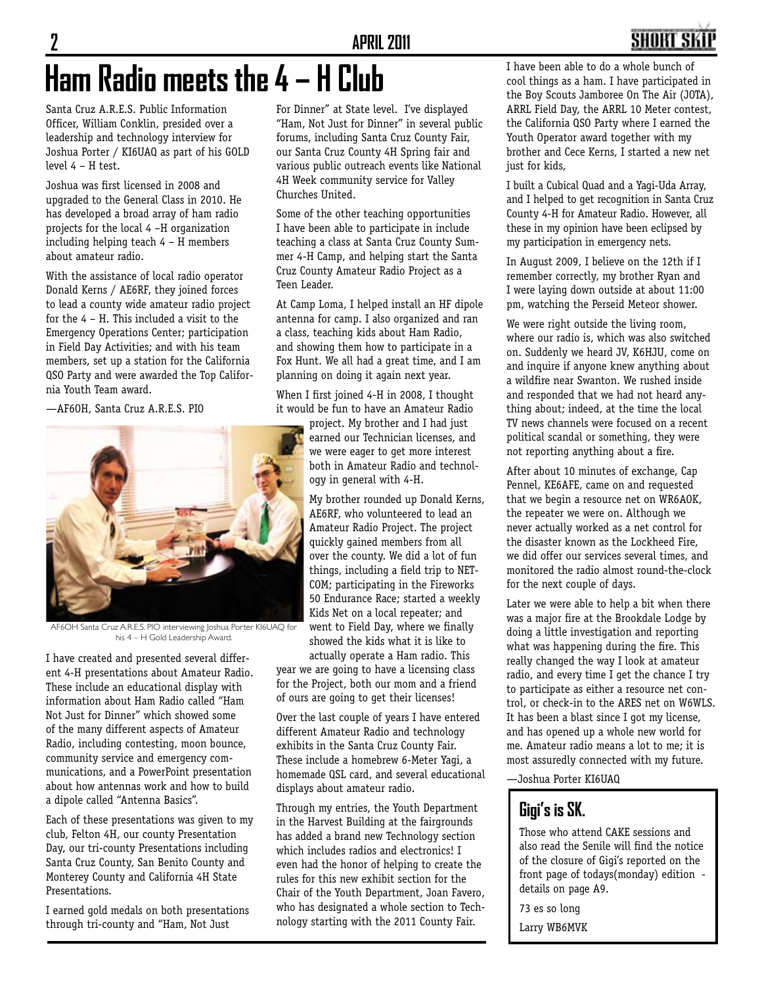# **Ham Radio meets the 4 – H Club**

Santa Cruz A.R.E.S. Public Information Officer, William Conklin, presided over a leadership and technology interview for Joshua Porter / KI6UAQ as part of his GOLD level 4 – H test.

Joshua was first licensed in 2008 and upgraded to the General Class in 2010. He has developed a broad array of ham radio projects for the local 4 –H organization including helping teach 4 – H members about amateur radio.

With the assistance of local radio operator Donald Kerns / AE6RF, they joined forces to lead a county wide amateur radio project for the 4 – H. This included a visit to the Emergency Operations Center; participation in Field Day Activities; and with his team members, set up a station for the California QSO Party and were awarded the Top California Youth Team award.

—AF6OH, Santa Cruz A.R.E.S. PIO



AF6OH Santa Cruz A.R.E.S. PIO interviewing Joshua Porter KI6UAQ for his 4 – H Gold Leadership Award.

I have created and presented several different 4-H presentations about Amateur Radio. These include an educational display with information about Ham Radio called "Ham Not Just for Dinner" which showed some of the many different aspects of Amateur Radio, including contesting, moon bounce, community service and emergency communications, and a PowerPoint presentation about how antennas work and how to build a dipole called "Antenna Basics".

Each of these presentations was given to my club, Felton 4H, our county Presentation Day, our tri-county Presentations including Santa Cruz County, San Benito County and Monterey County and California 4H State Presentations.

I earned gold medals on both presentations through tri-county and "Ham, Not Just

For Dinner" at State level. I've displayed "Ham, Not Just for Dinner" in several public forums, including Santa Cruz County Fair, our Santa Cruz County 4H Spring fair and various public outreach events like National 4H Week community service for Valley Churches United.

Some of the other teaching opportunities I have been able to participate in include teaching a class at Santa Cruz County Summer 4-H Camp, and helping start the Santa Cruz County Amateur Radio Project as a Teen Leader.

At Camp Loma, I helped install an HF dipole antenna for camp. I also organized and ran a class, teaching kids about Ham Radio, and showing them how to participate in a Fox Hunt. We all had a great time, and I am planning on doing it again next year.

When I first joined 4-H in 2008, I thought it would be fun to have an Amateur Radio

project. My brother and I had just earned our Technician licenses, and we were eager to get more interest both in Amateur Radio and technology in general with 4-H.

My brother rounded up Donald Kerns, AE6RF, who volunteered to lead an Amateur Radio Project. The project quickly gained members from all over the county. We did a lot of fun things, including a field trip to NET-COM; participating in the Fireworks 50 Endurance Race; started a weekly Kids Net on a local repeater; and went to Field Day, where we finally showed the kids what it is like to

actually operate a Ham radio. This year we are going to have a licensing class

for the Project, both our mom and a friend of ours are going to get their licenses!

Over the last couple of years I have entered different Amateur Radio and technology exhibits in the Santa Cruz County Fair. These include a homebrew 6-Meter Yagi, a homemade QSL card, and several educational displays about amateur radio.

Through my entries, the Youth Department in the Harvest Building at the fairgrounds has added a brand new Technology section which includes radios and electronics! I even had the honor of helping to create the rules for this new exhibit section for the Chair of the Youth Department, Joan Favero, who has designated a whole section to Technology starting with the 2011 County Fair.

I have been able to do a whole bunch of cool things as a ham. I have participated in the Boy Scouts Jamboree On The Air (JOTA), ARRL Field Day, the ARRL 10 Meter contest, the California QSO Party where I earned the Youth Operator award together with my brother and Cece Kerns, I started a new net just for kids,

I built a Cubical Quad and a Yagi-Uda Array, and I helped to get recognition in Santa Cruz County 4-H for Amateur Radio. However, all these in my opinion have been eclipsed by my participation in emergency nets.

In August 2009, I believe on the 12th if I remember correctly, my brother Ryan and I were laying down outside at about 11:00 pm, watching the Perseid Meteor shower.

We were right outside the living room, where our radio is, which was also switched on. Suddenly we heard JV, K6HJU, come on and inquire if anyone knew anything about a wildfire near Swanton. We rushed inside and responded that we had not heard anything about; indeed, at the time the local TV news channels were focused on a recent political scandal or something, they were not reporting anything about a fire.

After about 10 minutes of exchange, Cap Pennel, KE6AFE, came on and requested that we begin a resource net on WR6AOK, the repeater we were on. Although we never actually worked as a net control for the disaster known as the Lockheed Fire, we did offer our services several times, and monitored the radio almost round-the-clock for the next couple of days.

Later we were able to help a bit when there was a major fire at the Brookdale Lodge by doing a little investigation and reporting what was happening during the fire. This really changed the way I look at amateur radio, and every time I get the chance I try to participate as either a resource net control, or check-in to the ARES net on W6WLS. It has been a blast since I got my license, and has opened up a whole new world for me. Amateur radio means a lot to me; it is most assuredly connected with my future.

—Joshua Porter KI6UAQ

### **Gigi's is SK.**

Those who attend CAKE sessions and also read the Senile will find the notice of the closure of Gigi's reported on the front page of todays(monday) edition details on page A9.

73 es so long

Larry WB6MVK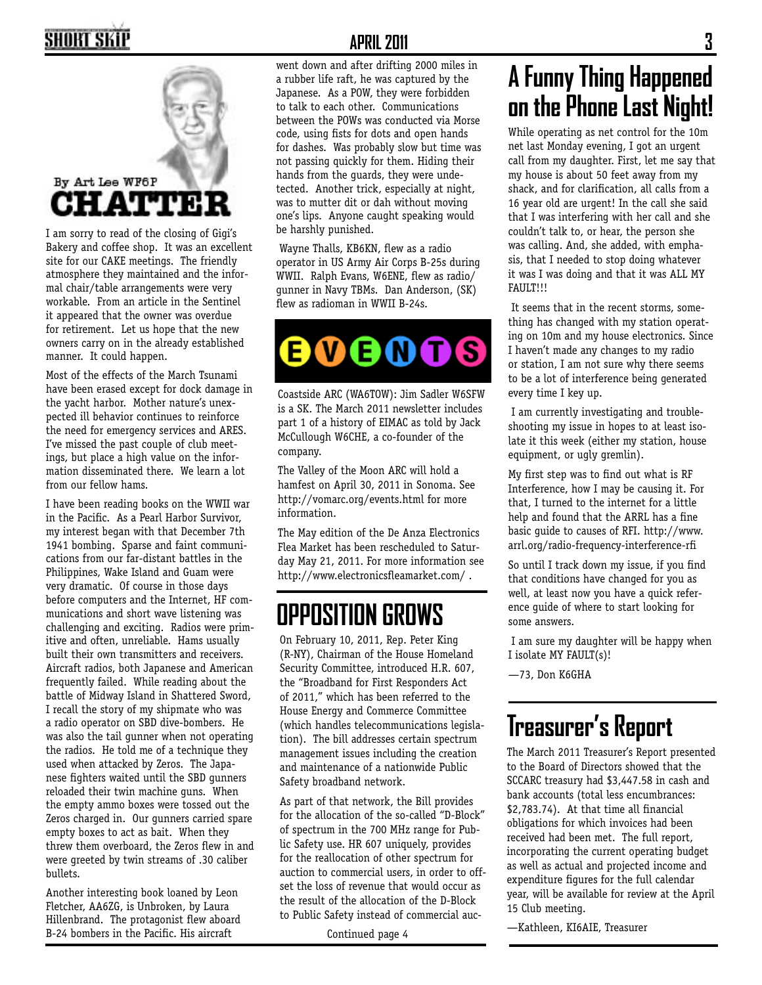### SHORT SKI



I am sorry to read of the closing of Gigi's Bakery and coffee shop. It was an excellent site for our CAKE meetings. The friendly atmosphere they maintained and the informal chair/table arrangements were very workable. From an article in the Sentinel it appeared that the owner was overdue for retirement. Let us hope that the new owners carry on in the already established manner. It could happen.

Most of the effects of the March Tsunami have been erased except for dock damage in the yacht harbor. Mother nature's unexpected ill behavior continues to reinforce the need for emergency services and ARES. I've missed the past couple of club meetings, but place a high value on the information disseminated there. We learn a lot from our fellow hams.

I have been reading books on the WWII war in the Pacific. As a Pearl Harbor Survivor, my interest began with that December 7th 1941 bombing. Sparse and faint communications from our far-distant battles in the Philippines, Wake Island and Guam were very dramatic. Of course in those days before computers and the Internet, HF communications and short wave listening was challenging and exciting. Radios were primitive and often, unreliable. Hams usually built their own transmitters and receivers. Aircraft radios, both Japanese and American frequently failed. While reading about the battle of Midway Island in Shattered Sword, I recall the story of my shipmate who was a radio operator on SBD dive-bombers. He was also the tail gunner when not operating the radios. He told me of a technique they used when attacked by Zeros. The Japanese fighters waited until the SBD gunners reloaded their twin machine guns. When the empty ammo boxes were tossed out the Zeros charged in. Our gunners carried spare empty boxes to act as bait. When they threw them overboard, the Zeros flew in and were greeted by twin streams of .30 caliber bullets.

Another interesting book loaned by Leon Fletcher, AA6ZG, is Unbroken, by Laura Hillenbrand. The protagonist flew aboard B-24 bombers in the Pacific. His aircraft

#### **APRIL 2011 3**

went down and after drifting 2000 miles in a rubber life raft, he was captured by the Japanese. As a POW, they were forbidden to talk to each other. Communications between the POWs was conducted via Morse code, using fists for dots and open hands for dashes. Was probably slow but time was not passing quickly for them. Hiding their hands from the guards, they were undetected. Another trick, especially at night, was to mutter dit or dah without moving one's lips. Anyone caught speaking would be harshly punished.

 Wayne Thalls, KB6KN, flew as a radio operator in US Army Air Corps B-25s during WWII. Ralph Evans, W6ENE, flew as radio/ gunner in Navy TBMs. Dan Anderson, (SK) flew as radioman in WWII B-24s.

### S Q

Coastside ARC (WA6TOW): Jim Sadler W6SFW is a SK. The March 2011 newsletter includes part 1 of a history of EIMAC as told by Jack McCullough W6CHE, a co-founder of the company.

The Valley of the Moon ARC will hold a hamfest on April 30, 2011 in Sonoma. See http://vomarc.org/events.html for more information.

The May edition of the De Anza Electronics Flea Market has been rescheduled to Saturday May 21, 2011. For more information see http://www.electronicsfleamarket.com/ .

### **OPPOSITION GROWS**

On February 10, 2011, Rep. Peter King (R-NY), Chairman of the House Homeland Security Committee, introduced H.R. 607, the "Broadband for First Responders Act of 2011," which has been referred to the House Energy and Commerce Committee (which handles telecommunications legislation). The bill addresses certain spectrum management issues including the creation and maintenance of a nationwide Public Safety broadband network.

As part of that network, the Bill provides for the allocation of the so-called "D-Block" of spectrum in the 700 MHz range for Public Safety use. HR 607 uniquely, provides for the reallocation of other spectrum for auction to commercial users, in order to offset the loss of revenue that would occur as the result of the allocation of the D-Block to Public Safety instead of commercial auc-

### **A Funny Thing Happened on the Phone Last Night!**

While operating as net control for the 10m net last Monday evening, I got an urgent call from my daughter. First, let me say that my house is about 50 feet away from my shack, and for clarification, all calls from a 16 year old are urgent! In the call she said that I was interfering with her call and she couldn't talk to, or hear, the person she was calling. And, she added, with emphasis, that I needed to stop doing whatever it was I was doing and that it was ALL MY FAULT!!!

 It seems that in the recent storms, something has changed with my station operating on 10m and my house electronics. Since I haven't made any changes to my radio or station, I am not sure why there seems to be a lot of interference being generated every time I key up.

 I am currently investigating and troubleshooting my issue in hopes to at least isolate it this week (either my station, house equipment, or ugly gremlin).

My first step was to find out what is RF Interference, how I may be causing it. For that, I turned to the internet for a little help and found that the ARRL has a fine basic guide to causes of RFI. http://www. arrl.org/radio-frequency-interference-rfi

So until I track down my issue, if you find that conditions have changed for you as well, at least now you have a quick reference guide of where to start looking for some answers.

 I am sure my daughter will be happy when I isolate MY FAULT(s)!

—73, Don K6GHA

### **Treasurer's Report**

The March 2011 Treasurer's Report presented to the Board of Directors showed that the SCCARC treasury had \$3,447.58 in cash and bank accounts (total less encumbrances: \$2,783.74). At that time all financial obligations for which invoices had been received had been met. The full report, incorporating the current operating budget as well as actual and projected income and expenditure figures for the full calendar year, will be available for review at the April 15 Club meeting.

—Kathleen, KI6AIE, Treasurer